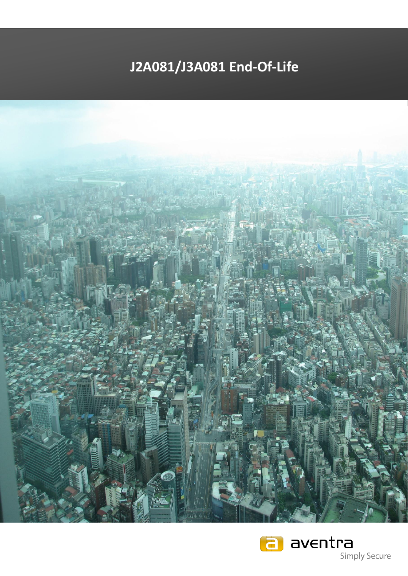## **J2A081/J3A081 End-Of-Life**